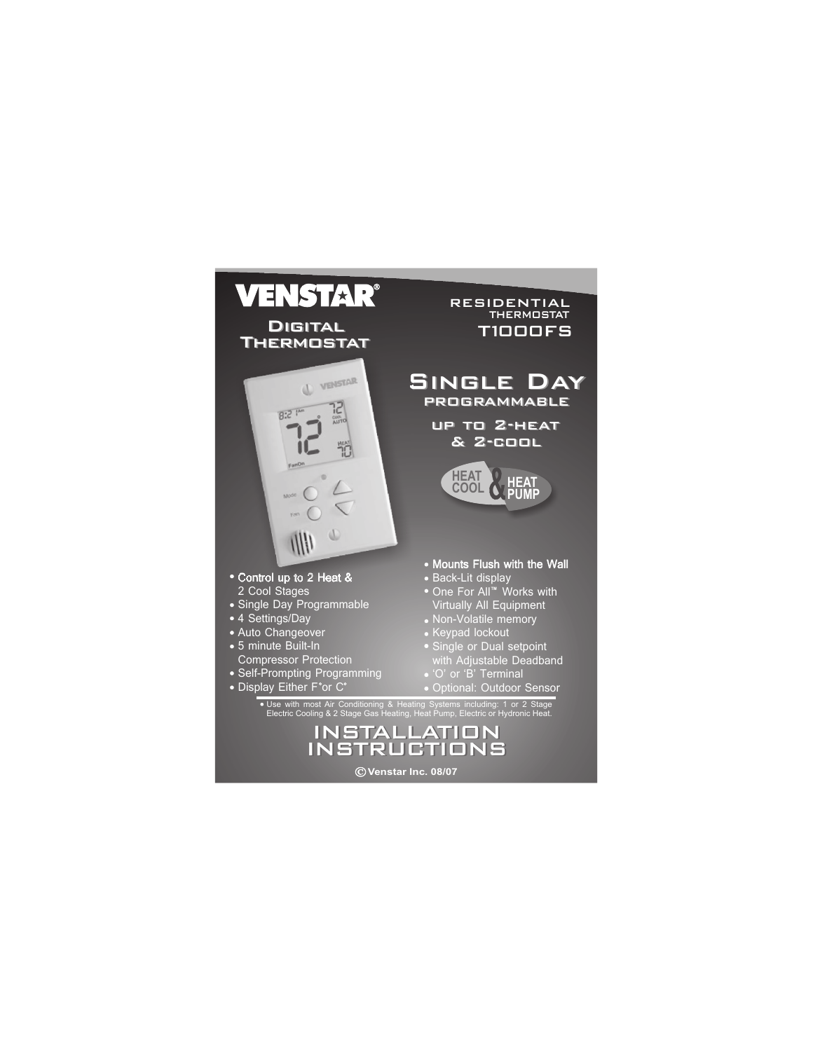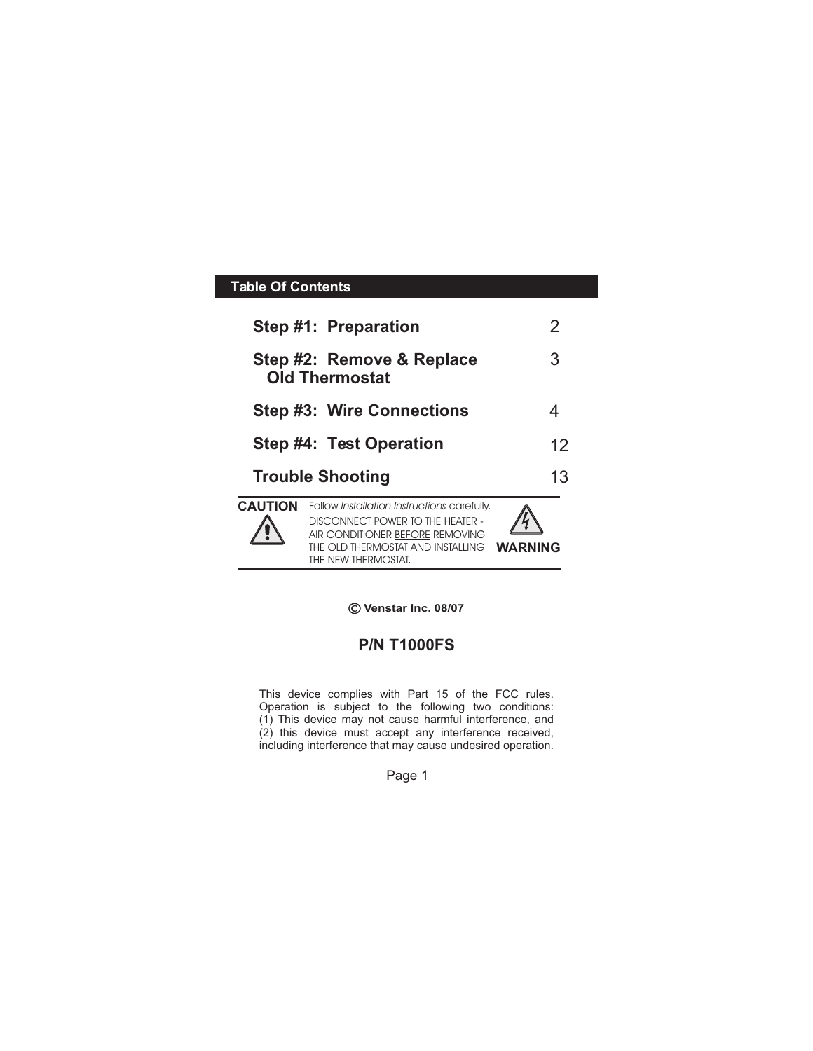# **Table Of Contents**

|                | Step #1: Preparation                                                                                                                                                           | 2       |
|----------------|--------------------------------------------------------------------------------------------------------------------------------------------------------------------------------|---------|
|                | Step #2: Remove & Replace<br><b>Old Thermostat</b>                                                                                                                             | З       |
|                | <b>Step #3: Wire Connections</b>                                                                                                                                               |         |
|                | Step #4: Test Operation                                                                                                                                                        | 12      |
|                | <b>Trouble Shooting</b>                                                                                                                                                        | 13      |
| <b>CAUTION</b> | Follow Installation Instructions carefully.<br>DISCONNECT POWER TO THE HEATER -<br>AIR CONDITIONER BEFORE REMOVING<br>THE OLD THERMOSTAT AND INSTALLING<br>THE NEW THERMOSTAT. | WARNING |

**Venstar Inc. 08/07**

## **P/N T1000FS**

This device complies with Part 15 of the FCC rules. Operation is subject to the following two conditions: (1) This device may not cause harmful interference, and (2) this device must accept any interference received, including interference that may cause undesired operation.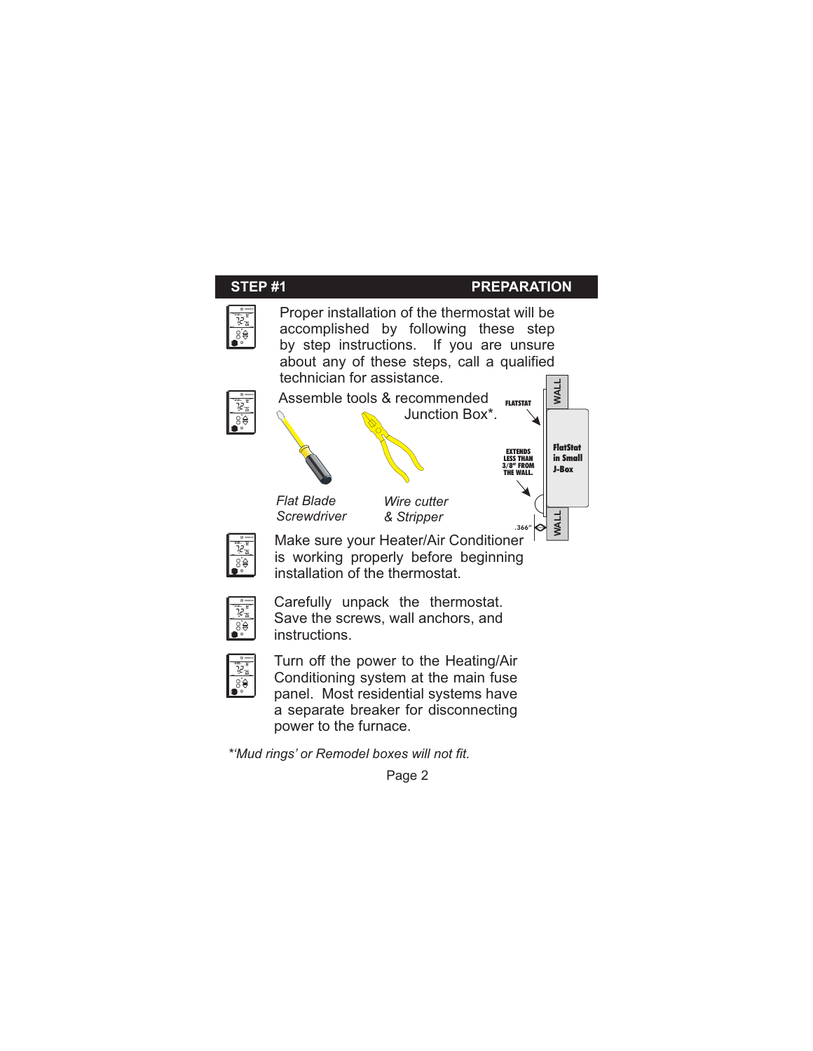

*\*'Mud rings' or Remodel boxes will not fit.*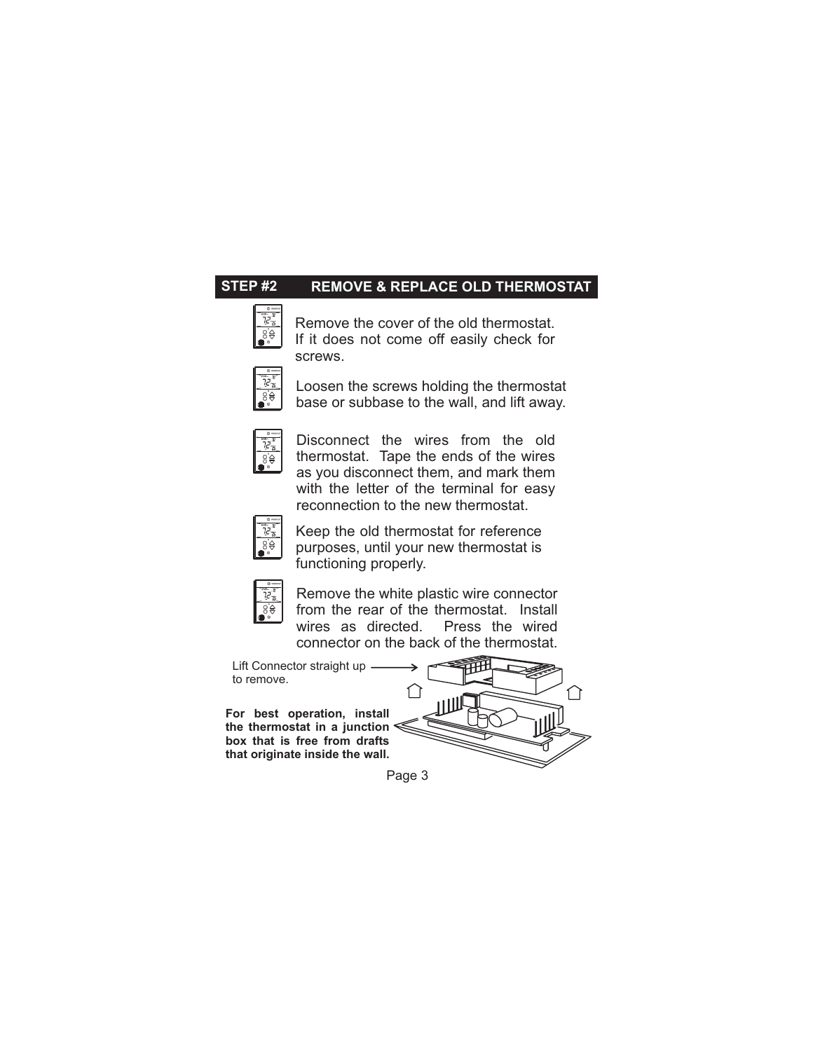#### **STEP #2 REMOVE & REPLACE OLD THERMOSTAT**

.8`⊖

Remove the cover of the old thermostat. If it does not come off easily check for screws.



Loosen the screws holding the thermostat base or subbase to the wall, and lift away.



Disconnect the wires from the old thermostat. Tape the ends of the wires as you disconnect them, and mark them with the letter of the terminal for easy reconnection to the new thermostat.



Keep the old thermostat for reference purposes, until your new thermostat is functioning properly.



Remove the white plastic wire connector from the rear of the thermostat. Install<br>wires as directed. Press the wired wires as directed. connector on the back of the thermostat.

Lift Connector straight up to remove.

**For best operation, install the thermostat in a junction box that is free from drafts that originate inside the wall.**

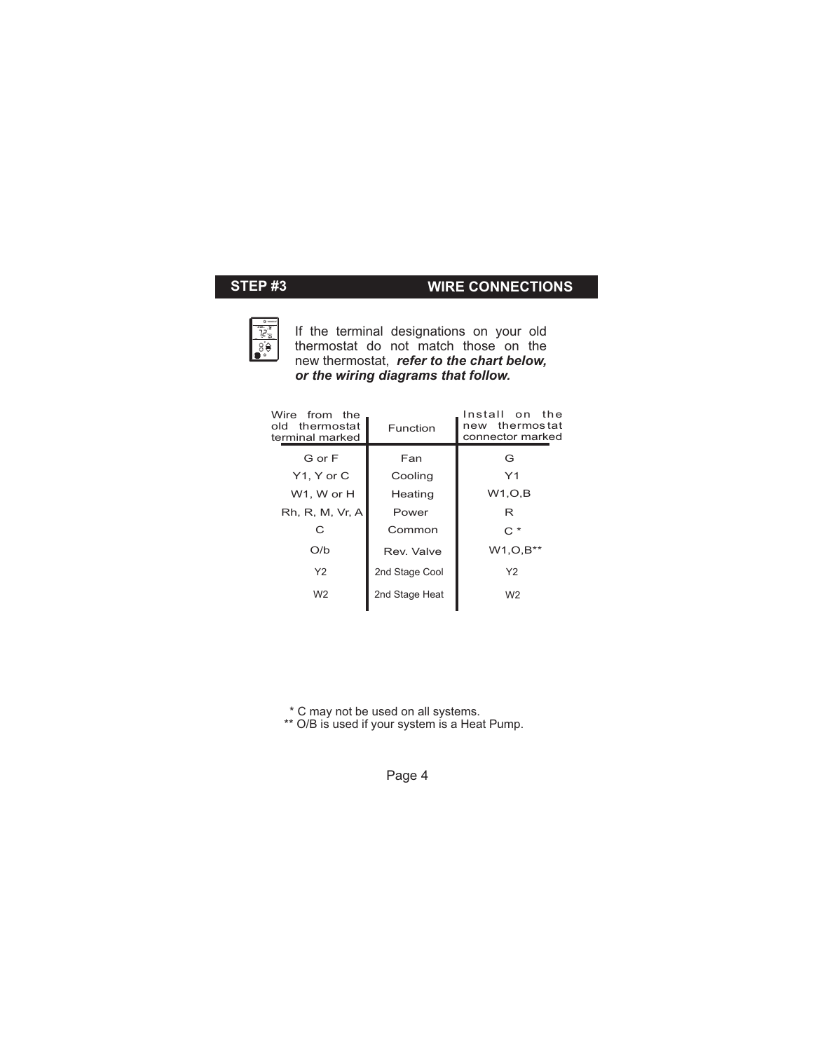# **STEP #3 WIRE CONNECTIONS**



If the terminal designations on your old thermostat do not match those on the new thermostat, *refer to the chart below, or the wiring diagrams that follow.*

| Wire from the<br>old thermostat<br>terminal marked | Function       | Install on the<br>new thermostat<br>connector marked |
|----------------------------------------------------|----------------|------------------------------------------------------|
| G or F                                             | Fan            | G                                                    |
| Y1, Y or C                                         | Cooling        | Y1                                                   |
| W1, W or H                                         | Heating        | W1, O, B                                             |
| Rh, R, M, Vr, A                                    | Power          | R                                                    |
| C                                                  | Common         | $C^*$                                                |
| O/b                                                | Rev. Valve     | $W1, O, B^{**}$                                      |
| Y <sub>2</sub>                                     | 2nd Stage Cool | Y <sub>2</sub>                                       |
| W <sub>2</sub>                                     | 2nd Stage Heat | W <sub>2</sub>                                       |
|                                                    |                |                                                      |

\* C may not be used on all systems.

\*\* O/B is used if your system is a Heat Pump.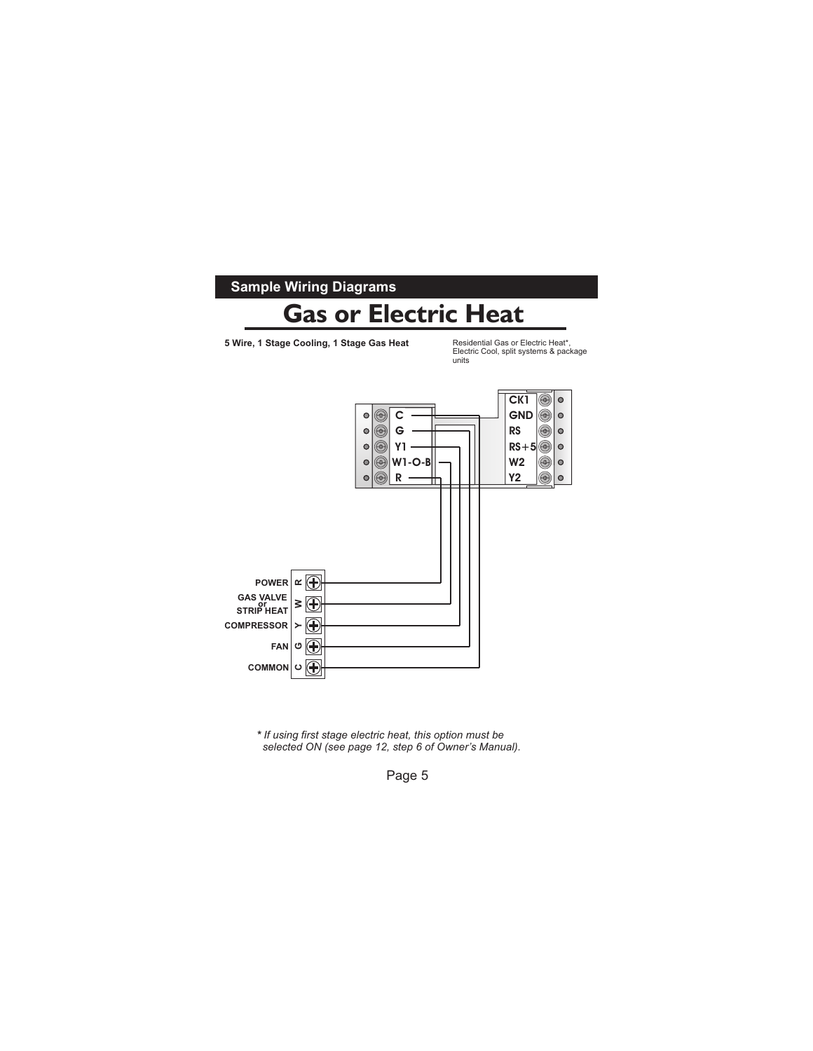

Page 5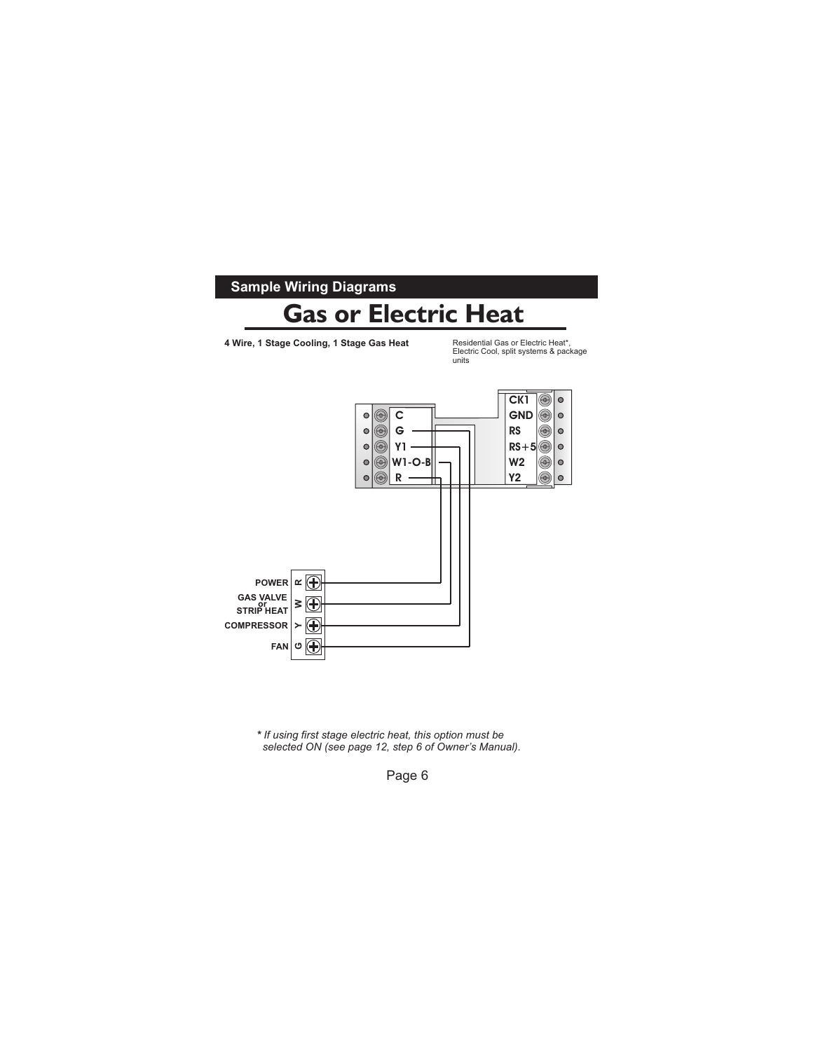

Page 6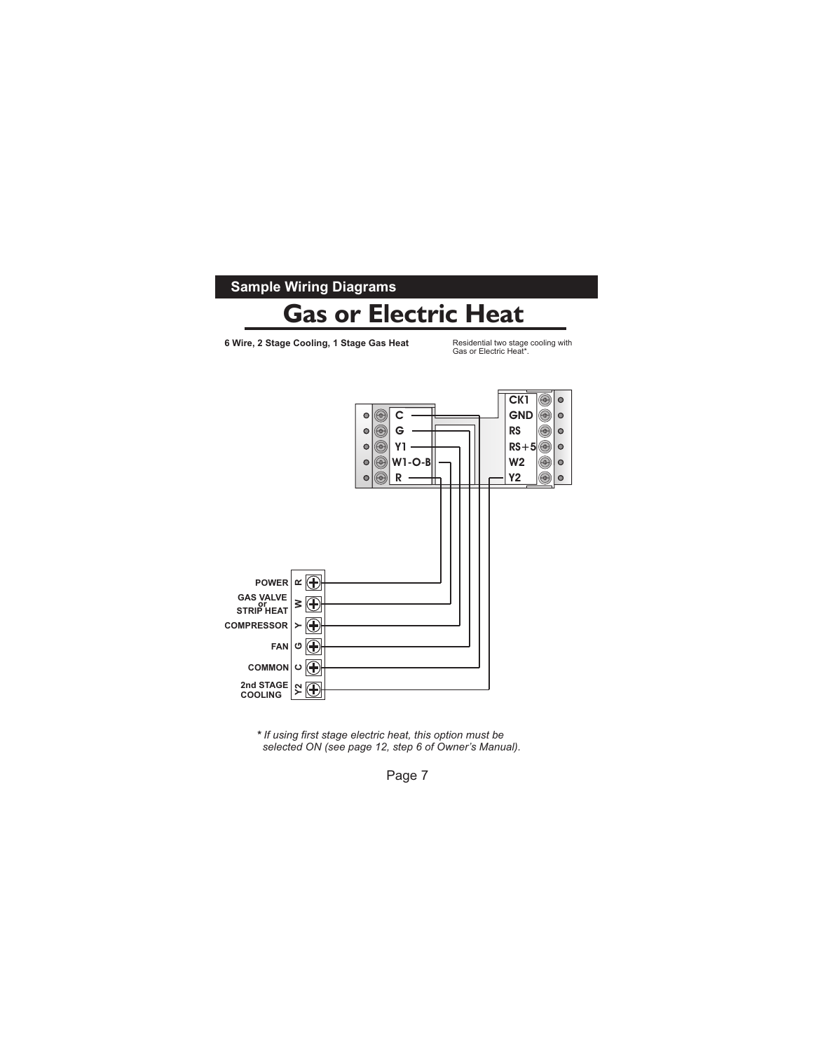

Page 7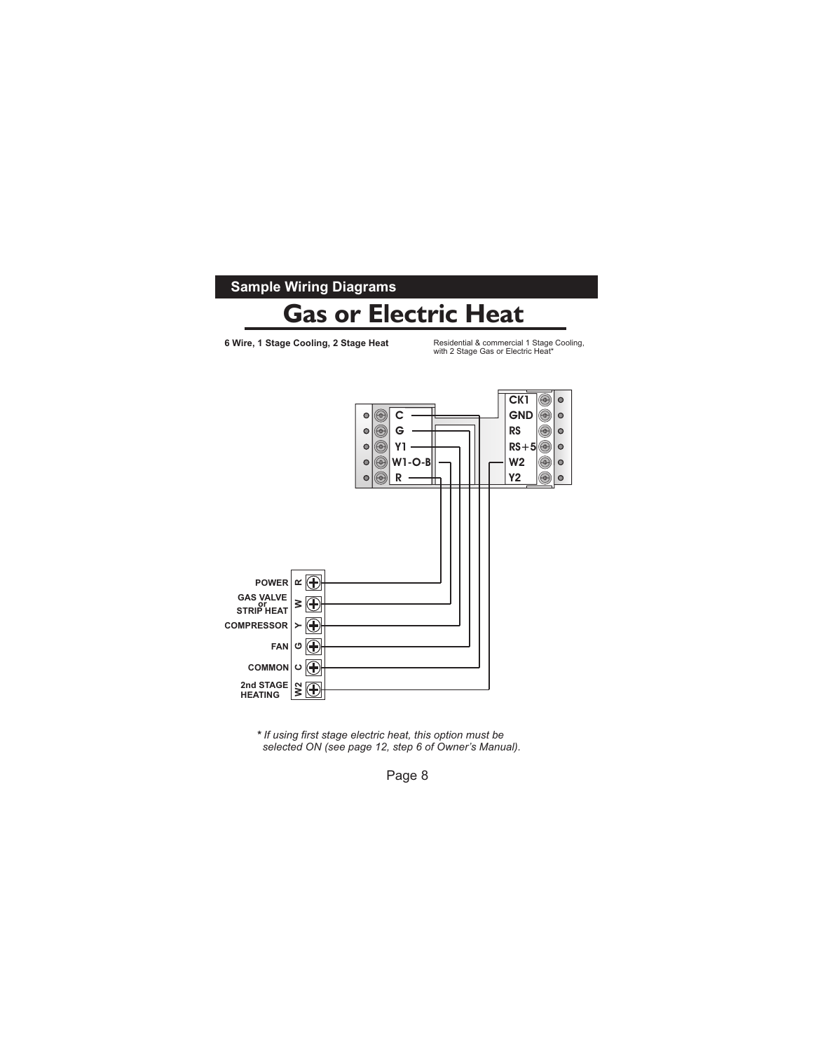

Page 8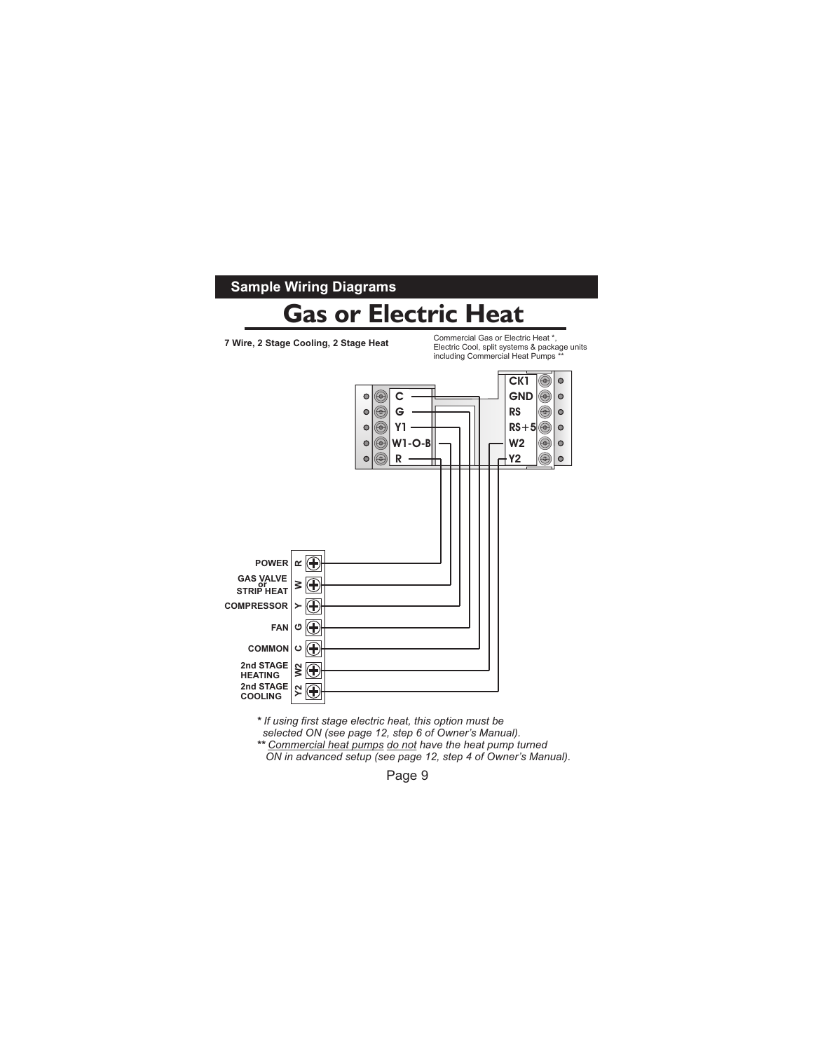

*\* If using first stage electric heat, this option must be* 

 *selected ON (see page 12, step 6 of Owner's Manual).*

*\*\* Commercial heat pumps do not have the heat pump turned ON in advanced setup (see page 12, step 4 of Owner's Manual).*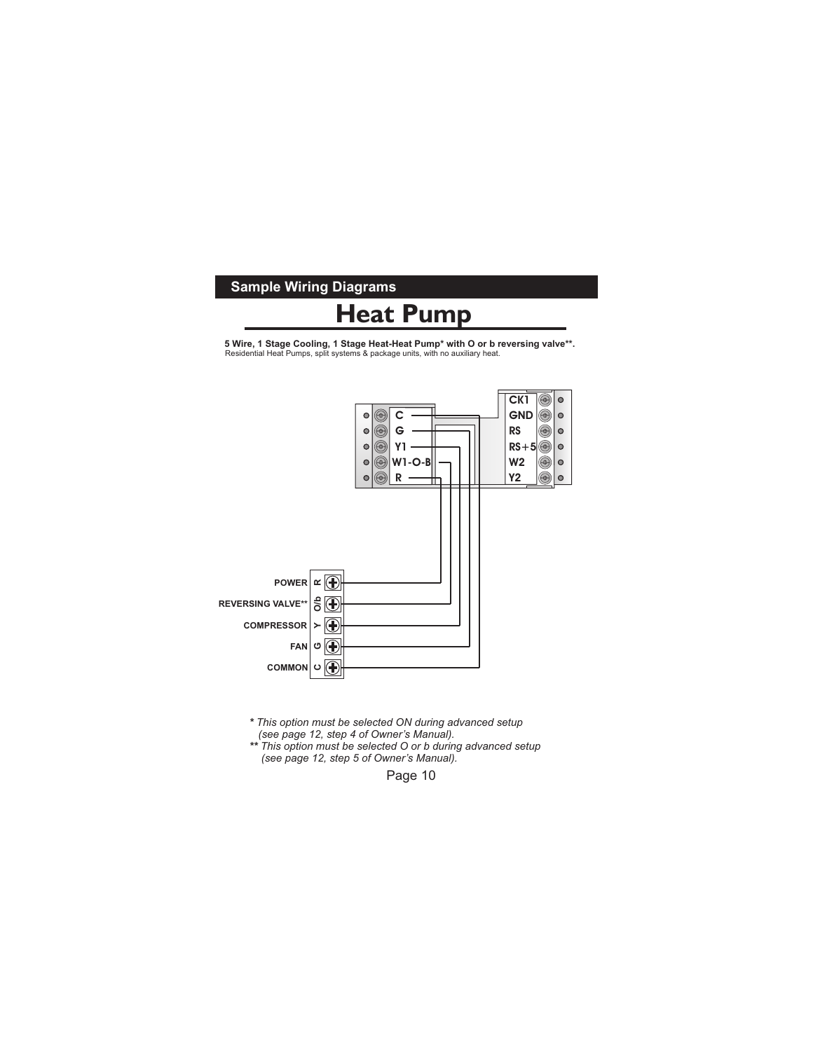#### **Sample Wiring Diagrams**



**5 Wire, 1 Stage Cooling, 1 Stage Heat-Heat Pump\* with O or b reversing valve\*\*.**<br>Residential Heat Pumps, split systems & package units, with no auxiliary heat.



*\* This option must be selected ON during advanced setup (see page 12, step 4 of Owner's Manual).*

*\*\* This option must be selected O or b during advanced setup (see page 12, step 5 of Owner's Manual).*

Page 10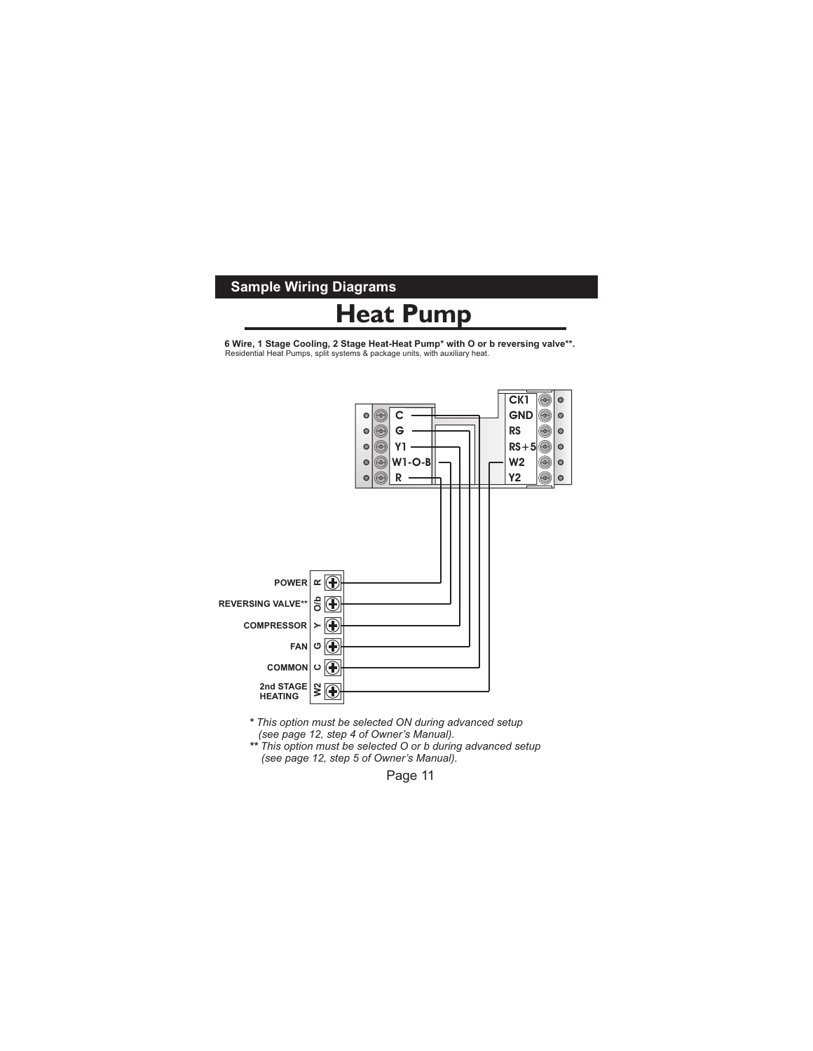#### **Sample Wiring Diagrams**

# **Heat Pump**

**6 Wire, 1 Stage Cooling, 2 Stage Heat-Heat Pump\* with O or b reversing valve\*\*.**<br>Residential Heat Pumps, split systems & package units, with auxiliary heat.



*\* This option must be selected ON during advanced setup*

- *(see page 12, step 4 of Owner's Manual).*
- *\*\* This option must be selected O or b during advanced setup (see page 12, step 5 of Owner's Manual).*

Page 11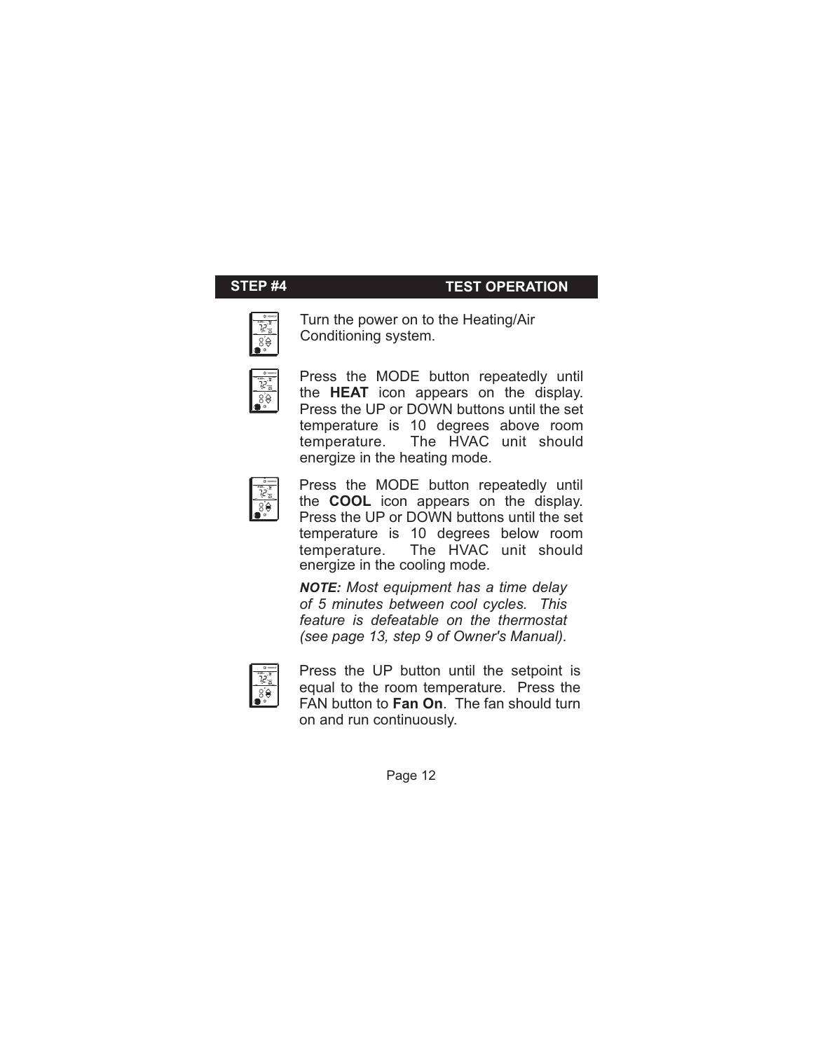### **STEP #4 TEST OPERATION**



Turn the power on to the Heating/Air Conditioning system.



Press the MODE button repeatedly until the **HEAT** icon appears on the display. Press the UP or DOWN buttons until the set temperature is 10 degrees above room temperature. The HVAC unit should energize in the heating mode.



Press the MODE button repeatedly until the **COOL** icon appears on the display. Press the UP or DOWN buttons until the set temperature is 10 degrees below room temperature. The HVAC unit should energize in the cooling mode.

*NOTE: Most equipment has a time delay of 5 minutes between cool cycles. This feature is defeatable on the thermostat (see page 13, step 9 of Owner's Manual).*



Press the UP button until the setpoint is equal to the room temperature. Press the FAN button to **Fan On**. The fan should turn on and run continuously.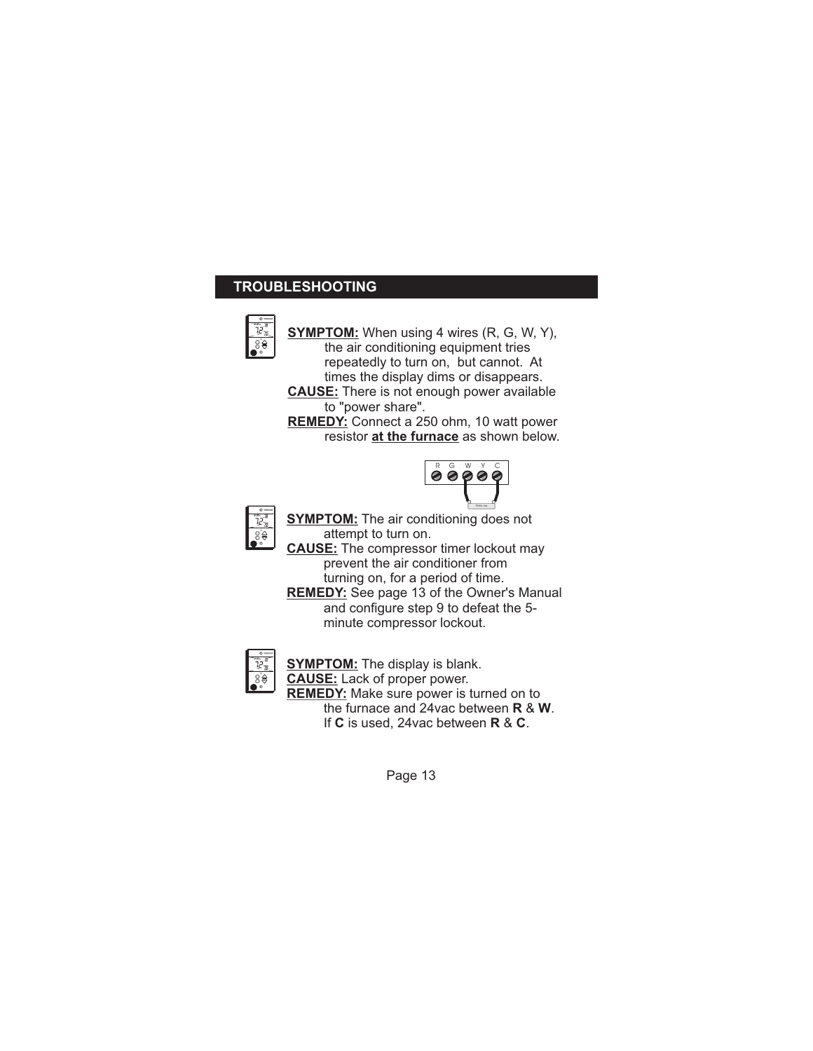### **TROUBLESHOOTING**



**SYMPTOM:** When using 4 wires (R, G, W, Y), the air conditioning equipment tries repeatedly to turn on, but cannot. At times the display dims or disappears. **CAUSE:** There is not enough power available to "power share".

**REMEDY:** Connect a 250 ohm, 10 watt power resistor **at the furnace** as shown below.





**SYMPTOM:** The air conditioning does not attempt to turn on.

**CAUSE:** The compressor timer lockout may prevent the air conditioner from turning on, for a period of time. **REMEDY:** See page 13 of the Owner's Manual and configure step 9 to defeat the 5 minute compressor lockout.



**SYMPTOM:** The display is blank. **CAUSE:** Lack of proper power. **REMEDY:** Make sure power is turned on to the furnace and 24vac between **R** & **W**. If **C** is used, 24vac between **R** & **C**.